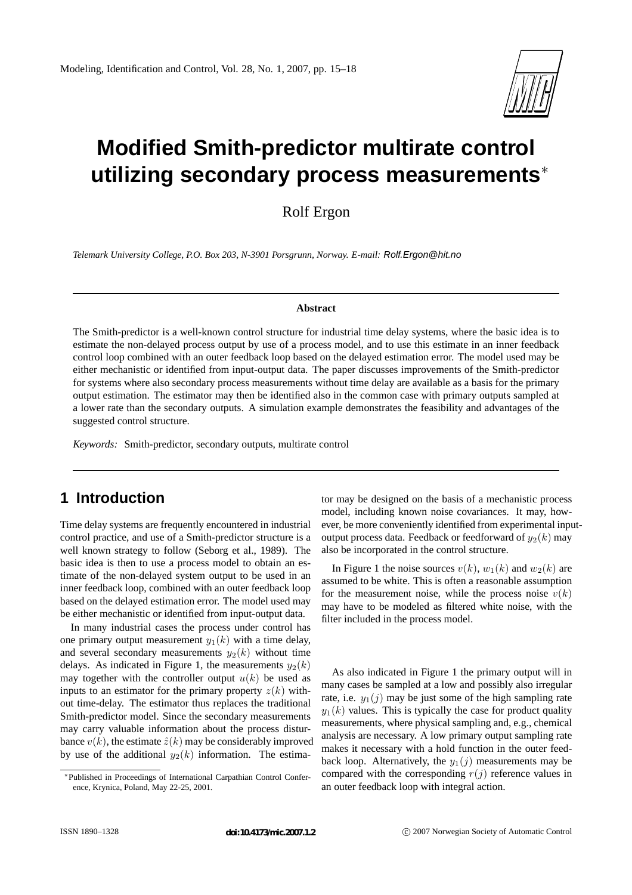

# **Modified Smith-predictor multirate control utilizing secondary process measurements** ∗

Rolf Ergon

*Telemark University College, P.O. Box 203, N-3901 Porsgrunn, Norway. E-mail:* Rolf.Ergon@hit.no

#### **Abstract**

The Smith-predictor is a well-known control structure for industrial time delay systems, where the basic idea is to estimate the non-delayed process output by use of a process model, and to use this estimate in an inner feedback control loop combined with an outer feedback loop based on the delayed estimation error. The model used may be either mechanistic or identified from input-output data. The paper discusses improvements of the Smith-predictor for systems where also secondary process measurements without time delay are available as a basis for the primary output estimation. The estimator may then be identified also in the common case with primary outputs sampled at a lower rate than the secondary outputs. A simulation example demonstrates the feasibility and advantages of the suggested control structure.

*Keywords:* Smith-predictor, secondary outputs, multirate control

# **1 Introduction**

Time delay systems are frequently encountered in industrial control practice, and use of a Smith-predictor structure is a well known strategy to follow (Seborg et al., 1989). The basic idea is then to use a process model to obtain an estimate of the non-delayed system output to be used in an inner feedback loop, combined with an outer feedback loop based on the delayed estimation error. The model used may be either mechanistic or identified from input-output data.

In many industrial cases the process under control has one primary output measurement  $y_1(k)$  with a time delay, and several secondary measurements  $y_2(k)$  without time delays. As indicated in Figure 1, the measurements  $y_2(k)$ may together with the controller output  $u(k)$  be used as inputs to an estimator for the primary property  $z(k)$  without time-delay. The estimator thus replaces the traditional Smith-predictor model. Since the secondary measurements may carry valuable information about the process disturbance  $v(k)$ , the estimate  $\hat{z}(k)$  may be considerably improved by use of the additional  $y_2(k)$  information. The estimator may be designed on the basis of a mechanistic process model, including known noise covariances. It may, however, be more conveniently identified from experimental inputoutput process data. Feedback or feedforward of  $y_2(k)$  may also be incorporated in the control structure.

In Figure 1 the noise sources  $v(k)$ ,  $w_1(k)$  and  $w_2(k)$  are assumed to be white. This is often a reasonable assumption for the measurement noise, while the process noise  $v(k)$ may have to be modeled as filtered white noise, with the filter included in the process model.

As also indicated in Figure 1 the primary output will in many cases be sampled at a low and possibly also irregular rate, i.e.  $y_1(j)$  may be just some of the high sampling rate  $y_1(k)$  values. This is typically the case for product quality measurements, where physical sampling and, e.g., chemical analysis are necessary. A low primary output sampling rate makes it necessary with a hold function in the outer feedback loop. Alternatively, the  $y_1(j)$  measurements may be compared with the corresponding  $r(j)$  reference values in an outer feedback loop with integral action.

<sup>∗</sup>Published in Proceedings of International Carpathian Control Conference, Krynica, Poland, May 22-25, 2001.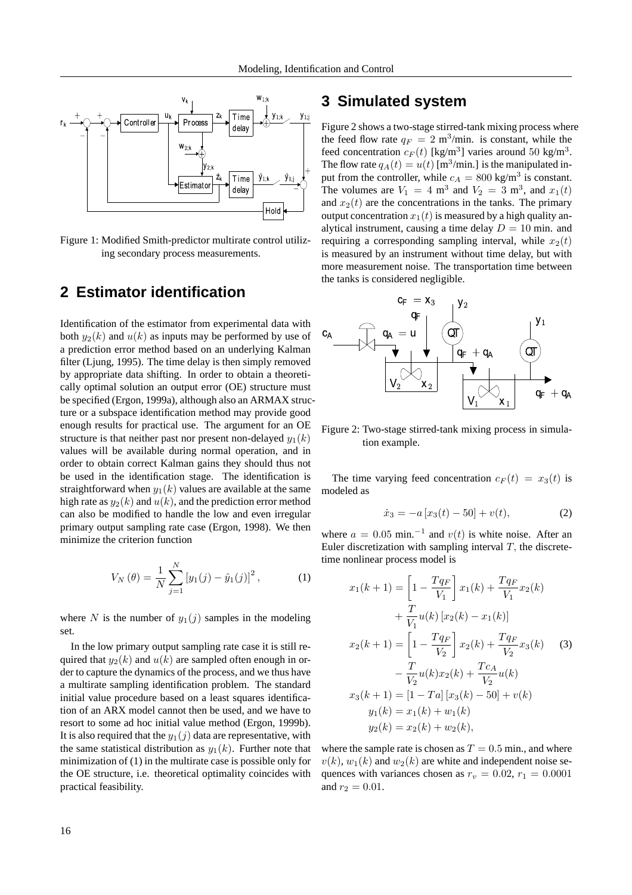

Figure 1: Modified Smith-predictor multirate control utilizing secondary process measurements.

### **2 Estimator identification**

Identification of the estimator from experimental data with both  $y_2(k)$  and  $u(k)$  as inputs may be performed by use of a prediction error method based on an underlying Kalman filter (Ljung, 1995). The time delay is then simply removed by appropriate data shifting. In order to obtain a theoretically optimal solution an output error (OE) structure must be specified (Ergon, 1999a), although also an ARMAX structure or a subspace identification method may provide good enough results for practical use. The argument for an OE structure is that neither past nor present non-delayed  $y_1(k)$ values will be available during normal operation, and in order to obtain correct Kalman gains they should thus not be used in the identification stage. The identification is straightforward when  $y_1(k)$  values are available at the same high rate as  $y_2(k)$  and  $u(k)$ , and the prediction error method can also be modified to handle the low and even irregular primary output sampling rate case (Ergon, 1998). We then minimize the criterion function

$$
V_N(\theta) = \frac{1}{N} \sum_{j=1}^{N} [y_1(j) - \hat{y}_1(j)]^2, \qquad (1)
$$

where N is the number of  $y_1(j)$  samples in the modeling set.

In the low primary output sampling rate case it is still required that  $y_2(k)$  and  $u(k)$  are sampled often enough in order to capture the dynamics of the process, and we thus have a multirate sampling identification problem. The standard initial value procedure based on a least squares identification of an ARX model cannot then be used, and we have to resort to some ad hoc initial value method (Ergon, 1999b). It is also required that the  $y_1(j)$  data are representative, with the same statistical distribution as  $y_1(k)$ . Further note that minimization of (1) in the multirate case is possible only for the OE structure, i.e. theoretical optimality coincides with practical feasibility.

### **3 Simulated system**

Figure 2 shows a two-stage stirred-tank mixing process where the feed flow rate  $q_F = 2$  m<sup>3</sup>/min. is constant, while the feed concentration  $c_F(t)$  [kg/m<sup>3</sup>] varies around 50 kg/m<sup>3</sup>. The flow rate  $q_A(t) = u(t)$  [m<sup>3</sup>/min.] is the manipulated input from the controller, while  $c_A = 800 \text{ kg/m}^3$  is constant. The volumes are  $V_1 = 4 \text{ m}^3$  and  $V_2 = 3 \text{ m}^3$ , and  $x_1(t)$ and  $x_2(t)$  are the concentrations in the tanks. The primary output concentration  $x_1(t)$  is measured by a high quality analytical instrument, causing a time delay  $D = 10$  min. and requiring a corresponding sampling interval, while  $x_2(t)$ is measured by an instrument without time delay, but with more measurement noise. The transportation time between the tanks is considered negligible.



Figure 2: Two-stage stirred-tank mixing process in simulation example.

The time varying feed concentration  $c_F(t) = x_3(t)$  is modeled as

$$
\dot{x}_3 = -a[x_3(t) - 50] + v(t),\tag{2}
$$

where  $a = 0.05$  min.<sup>-1</sup> and  $v(t)$  is white noise. After an Euler discretization with sampling interval  $T$ , the discretetime nonlinear process model is

$$
x_1(k+1) = \left[1 - \frac{Tq_F}{V_1}\right] x_1(k) + \frac{Tq_F}{V_1} x_2(k)
$$
  
+ 
$$
\frac{T}{V_1} u(k) [x_2(k) - x_1(k)]
$$
  

$$
x_2(k+1) = \left[1 - \frac{Tq_F}{V_2}\right] x_2(k) + \frac{Tq_F}{V_2} x_3(k)
$$
(3)  
- 
$$
\frac{T}{V_2} u(k) x_2(k) + \frac{Tc_A}{V_2} u(k)
$$
  

$$
x_3(k+1) = \left[1 - Ta\right] [x_3(k) - 50] + v(k)
$$
  

$$
y_1(k) = x_1(k) + w_1(k)
$$
  

$$
y_2(k) = x_2(k) + w_2(k),
$$

where the sample rate is chosen as  $T = 0.5$  min., and where  $v(k)$ ,  $w_1(k)$  and  $w_2(k)$  are white and independent noise sequences with variances chosen as  $r_v = 0.02$ ,  $r_1 = 0.0001$ and  $r_2 = 0.01$ .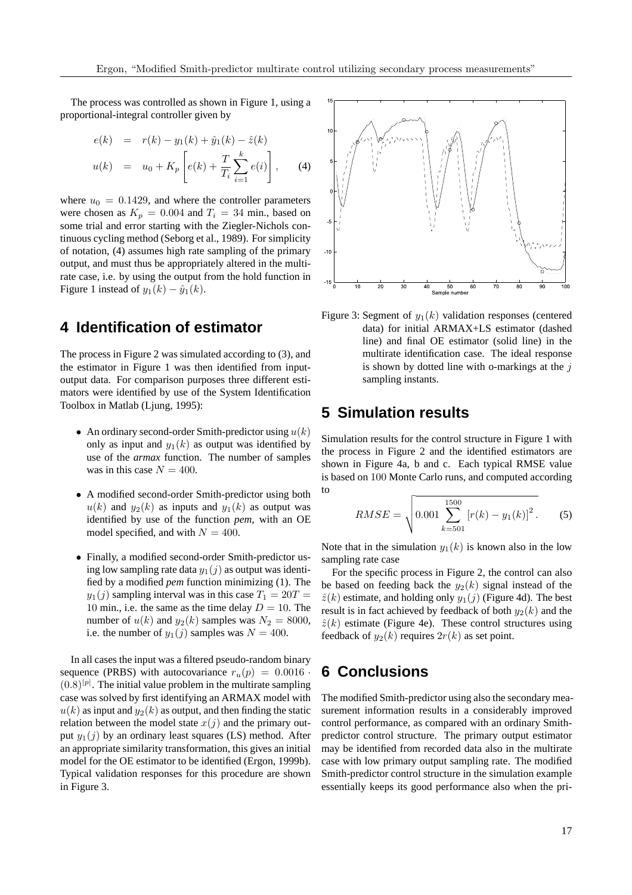The process was controlled as shown in Figure 1, using a proportional-integral controller given by

$$
e(k) = r(k) - y_1(k) + \hat{y}_1(k) - \hat{z}(k)
$$
  

$$
u(k) = u_0 + K_p \left[ e(k) + \frac{T}{T_i} \sum_{i=1}^k e(i) \right],
$$
 (4)

where  $u_0 = 0.1429$ , and where the controller parameters were chosen as  $K_p = 0.004$  and  $T_i = 34$  min., based on some trial and error starting with the Ziegler-Nichols continuous cycling method (Seborg et al., 1989). For simplicity of notation, (4) assumes high rate sampling of the primary output, and must thus be appropriately altered in the multirate case, i.e. by using the output from the hold function in Figure 1 instead of  $y_1(k) - \hat{y}_1(k)$ .

# **4 Identification of estimator**

The process in Figure 2 was simulated according to (3), and the estimator in Figure 1 was then identified from inputoutput data. For comparison purposes three different estimators were identified by use of the System Identification Toolbox in Matlab (Ljung, 1995):

- An ordinary second-order Smith-predictor using  $u(k)$ only as input and  $y_1(k)$  as output was identified by use of the *armax* function. The number of samples was in this case  $N = 400$ .
- A modified second-order Smith-predictor using both  $u(k)$  and  $y_2(k)$  as inputs and  $y_1(k)$  as output was identified by use of the function *pem*, with an OE model specified, and with  $N = 400$ .
- Finally, a modified second-order Smith-predictor using low sampling rate data  $y_1(j)$  as output was identified by a modified *pem* function minimizing (1). The  $y_1(j)$  sampling interval was in this case  $T_1 = 20T =$ 10 min., i.e. the same as the time delay  $D = 10$ . The number of  $u(k)$  and  $y_2(k)$  samples was  $N_2 = 8000$ , i.e. the number of  $y_1(j)$  samples was  $N = 400$ .

In all cases the input was a filtered pseudo-random binary sequence (PRBS) with autocovariance  $r_u(p) = 0.0016$  $(0.8)^{|p|}$ . The initial value problem in the multirate sampling case was solved by first identifying an ARMAX model with  $u(k)$  as input and  $y_2(k)$  as output, and then finding the static relation between the model state  $x(j)$  and the primary output  $y_1(j)$  by an ordinary least squares (LS) method. After an appropriate similarity transformation, this gives an initial model for the OE estimator to be identified (Ergon, 1999b). Typical validation responses for this procedure are shown in Figure 3.



Figure 3: Segment of  $y_1(k)$  validation responses (centered data) for initial ARMAX+LS estimator (dashed line) and final OE estimator (solid line) in the multirate identification case. The ideal response is shown by dotted line with o-markings at the  $j$ sampling instants.

# **5 Simulation results**

Simulation results for the control structure in Figure 1 with the process in Figure 2 and the identified estimators are shown in Figure 4a, b and c. Each typical RMSE value is based on 100 Monte Carlo runs, and computed according to

$$
RMSE = \sqrt{0.001 \sum_{k=501}^{1500} [r(k) - y_1(k)]^2}.
$$
 (5)

Note that in the simulation  $y_1(k)$  is known also in the low sampling rate case

For the specific process in Figure 2, the control can also be based on feeding back the  $y_2(k)$  signal instead of the  $\hat{z}(k)$  estimate, and holding only  $y_1(j)$  (Figure 4d). The best result is in fact achieved by feedback of both  $y_2(k)$  and the  $\hat{z}(k)$  estimate (Figure 4e). These control structures using feedback of  $y_2(k)$  requires  $2r(k)$  as set point.

# **6 Conclusions**

The modified Smith-predictor using also the secondary measurement information results in a considerably improved control performance, as compared with an ordinary Smithpredictor control structure. The primary output estimator may be identified from recorded data also in the multirate case with low primary output sampling rate. The modified Smith-predictor control structure in the simulation example essentially keeps its good performance also when the pri-